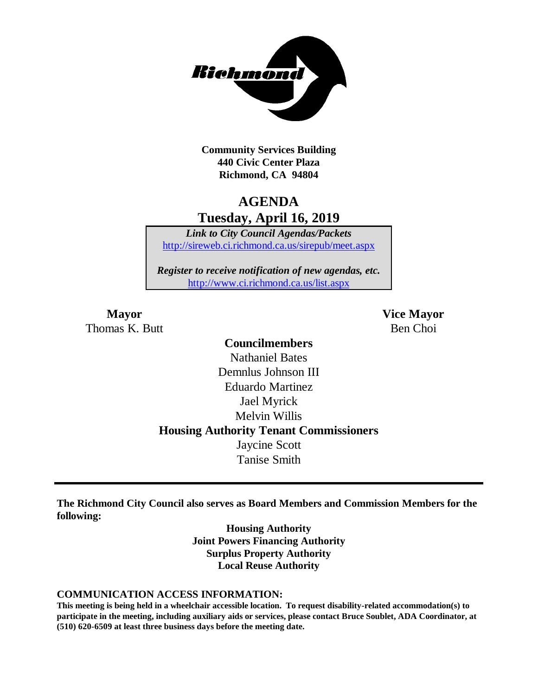

**Community Services Building 440 Civic Center Plaza Richmond, CA 94804**

## **AGENDA Tuesday, April 16, 2019**

*Link to City Council Agendas/Packets* <http://sireweb.ci.richmond.ca.us/sirepub/meet.aspx>

*Register to receive notification of new agendas, etc.* <http://www.ci.richmond.ca.us/list.aspx>

Thomas K. Butt Ben Choi

**Mayor Vice Mayor**

## **Councilmembers** Nathaniel Bates Demnlus Johnson III Eduardo Martinez Jael Myrick Melvin Willis **Housing Authority Tenant Commissioners** Jaycine Scott Tanise Smith

**The Richmond City Council also serves as Board Members and Commission Members for the following:**

> **Housing Authority Joint Powers Financing Authority Surplus Property Authority Local Reuse Authority**

#### **COMMUNICATION ACCESS INFORMATION:**

**This meeting is being held in a wheelchair accessible location. To request disability-related accommodation(s) to participate in the meeting, including auxiliary aids or services, please contact Bruce Soublet, ADA Coordinator, at (510) 620-6509 at least three business days before the meeting date.**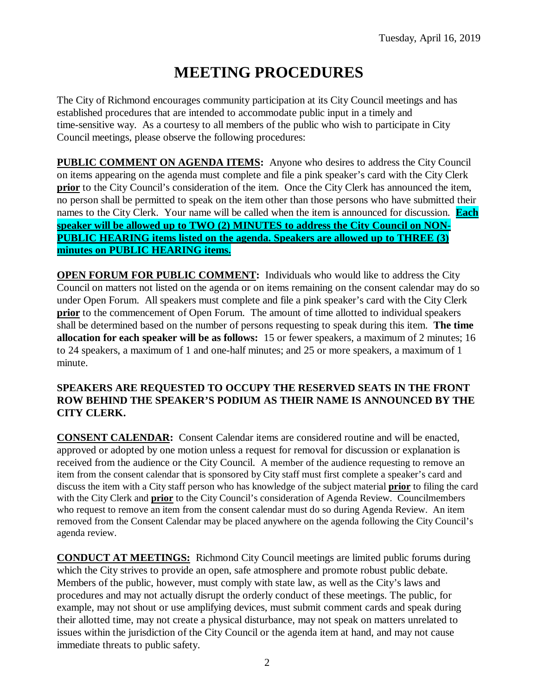# **MEETING PROCEDURES**

The City of Richmond encourages community participation at its City Council meetings and has established procedures that are intended to accommodate public input in a timely and time-sensitive way. As a courtesy to all members of the public who wish to participate in City Council meetings, please observe the following procedures:

**PUBLIC COMMENT ON AGENDA ITEMS:** Anyone who desires to address the City Council on items appearing on the agenda must complete and file a pink speaker's card with the City Clerk **prior** to the City Council's consideration of the item. Once the City Clerk has announced the item, no person shall be permitted to speak on the item other than those persons who have submitted their names to the City Clerk. Your name will be called when the item is announced for discussion. **Each speaker will be allowed up to TWO (2) MINUTES to address the City Council on NON-PUBLIC HEARING items listed on the agenda. Speakers are allowed up to THREE (3) minutes on PUBLIC HEARING items.**

**OPEN FORUM FOR PUBLIC COMMENT:** Individuals who would like to address the City Council on matters not listed on the agenda or on items remaining on the consent calendar may do so under Open Forum. All speakers must complete and file a pink speaker's card with the City Clerk **prior** to the commencement of Open Forum. The amount of time allotted to individual speakers shall be determined based on the number of persons requesting to speak during this item. **The time allocation for each speaker will be as follows:** 15 or fewer speakers, a maximum of 2 minutes; 16 to 24 speakers, a maximum of 1 and one-half minutes; and 25 or more speakers, a maximum of 1 minute.

#### **SPEAKERS ARE REQUESTED TO OCCUPY THE RESERVED SEATS IN THE FRONT ROW BEHIND THE SPEAKER'S PODIUM AS THEIR NAME IS ANNOUNCED BY THE CITY CLERK.**

**CONSENT CALENDAR:** Consent Calendar items are considered routine and will be enacted, approved or adopted by one motion unless a request for removal for discussion or explanation is received from the audience or the City Council. A member of the audience requesting to remove an item from the consent calendar that is sponsored by City staff must first complete a speaker's card and discuss the item with a City staff person who has knowledge of the subject material **prior** to filing the card with the City Clerk and **prior** to the City Council's consideration of Agenda Review. Councilmembers who request to remove an item from the consent calendar must do so during Agenda Review. An item removed from the Consent Calendar may be placed anywhere on the agenda following the City Council's agenda review.

**CONDUCT AT MEETINGS:** Richmond City Council meetings are limited public forums during which the City strives to provide an open, safe atmosphere and promote robust public debate. Members of the public, however, must comply with state law, as well as the City's laws and procedures and may not actually disrupt the orderly conduct of these meetings. The public, for example, may not shout or use amplifying devices, must submit comment cards and speak during their allotted time, may not create a physical disturbance, may not speak on matters unrelated to issues within the jurisdiction of the City Council or the agenda item at hand, and may not cause immediate threats to public safety.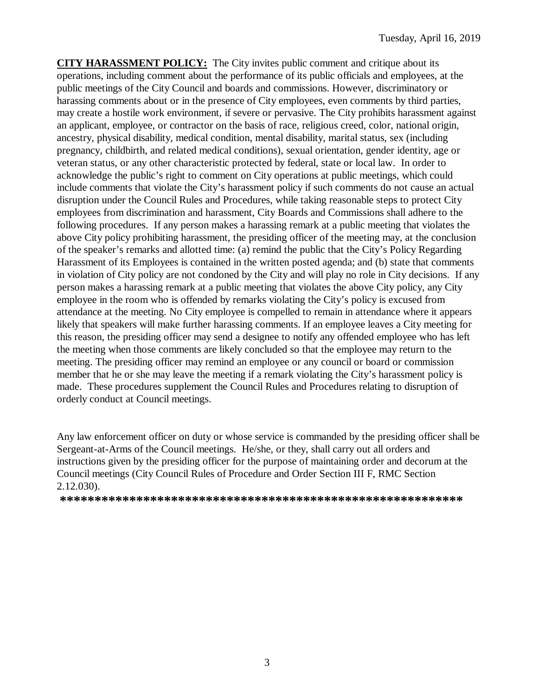**CITY HARASSMENT POLICY:** The City invites public comment and critique about its operations, including comment about the performance of its public officials and employees, at the public meetings of the City Council and boards and commissions. However, discriminatory or harassing comments about or in the presence of City employees, even comments by third parties, may create a hostile work environment, if severe or pervasive. The City prohibits harassment against an applicant, employee, or contractor on the basis of race, religious creed, color, national origin, ancestry, physical disability, medical condition, mental disability, marital status, sex (including pregnancy, childbirth, and related medical conditions), sexual orientation, gender identity, age or veteran status, or any other characteristic protected by federal, state or local law. In order to acknowledge the public's right to comment on City operations at public meetings, which could include comments that violate the City's harassment policy if such comments do not cause an actual disruption under the Council Rules and Procedures, while taking reasonable steps to protect City employees from discrimination and harassment, City Boards and Commissions shall adhere to the following procedures. If any person makes a harassing remark at a public meeting that violates the above City policy prohibiting harassment, the presiding officer of the meeting may, at the conclusion of the speaker's remarks and allotted time: (a) remind the public that the City's Policy Regarding Harassment of its Employees is contained in the written posted agenda; and (b) state that comments in violation of City policy are not condoned by the City and will play no role in City decisions. If any person makes a harassing remark at a public meeting that violates the above City policy, any City employee in the room who is offended by remarks violating the City's policy is excused from attendance at the meeting. No City employee is compelled to remain in attendance where it appears likely that speakers will make further harassing comments. If an employee leaves a City meeting for this reason, the presiding officer may send a designee to notify any offended employee who has left the meeting when those comments are likely concluded so that the employee may return to the meeting. The presiding officer may remind an employee or any council or board or commission member that he or she may leave the meeting if a remark violating the City's harassment policy is made. These procedures supplement the Council Rules and Procedures relating to disruption of orderly conduct at Council meetings.

Any law enforcement officer on duty or whose service is commanded by the presiding officer shall be Sergeant-at-Arms of the Council meetings. He/she, or they, shall carry out all orders and instructions given by the presiding officer for the purpose of maintaining order and decorum at the Council meetings (City Council Rules of Procedure and Order Section III F, RMC Section 2.12.030).

**\*\*\*\*\*\*\*\*\*\*\*\*\*\*\*\*\*\*\*\*\*\*\*\*\*\*\*\*\*\*\*\*\*\*\*\*\*\*\*\*\*\*\*\*\*\*\*\*\*\*\*\*\*\*\*\*\*\***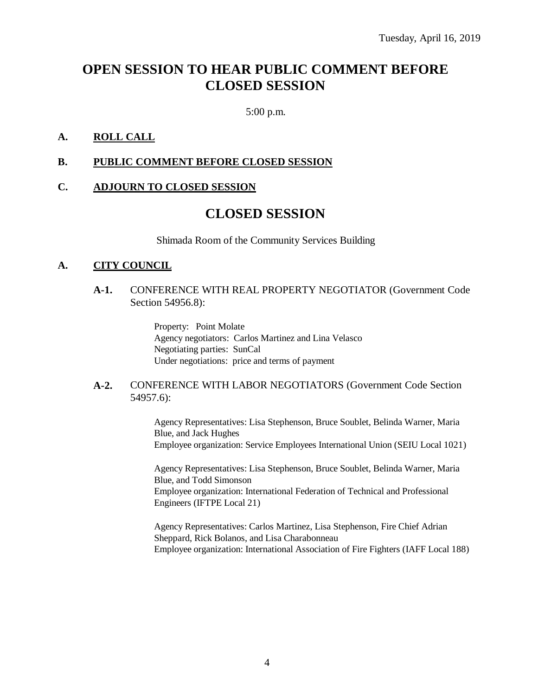## **OPEN SESSION TO HEAR PUBLIC COMMENT BEFORE CLOSED SESSION**

5:00 p.m.

## **A. ROLL CALL**

#### **B. PUBLIC COMMENT BEFORE CLOSED SESSION**

#### **C. ADJOURN TO CLOSED SESSION**

## **CLOSED SESSION**

Shimada Room of the Community Services Building

#### **A. CITY COUNCIL**

#### **A-1.** CONFERENCE WITH REAL PROPERTY NEGOTIATOR (Government Code Section 54956.8):

Property: Point Molate Agency negotiators: Carlos Martinez and Lina Velasco Negotiating parties: SunCal Under negotiations: price and terms of payment

#### **A-2.** CONFERENCE WITH LABOR NEGOTIATORS (Government Code Section 54957.6):

Agency Representatives: Lisa Stephenson, Bruce Soublet, Belinda Warner, Maria Blue, and Jack Hughes Employee organization: Service Employees International Union (SEIU Local 1021)

Agency Representatives: Lisa Stephenson, Bruce Soublet, Belinda Warner, Maria Blue, and Todd Simonson Employee organization: International Federation of Technical and Professional Engineers (IFTPE Local 21)

Agency Representatives: Carlos Martinez, Lisa Stephenson, Fire Chief Adrian Sheppard, Rick Bolanos, and Lisa Charabonneau Employee organization: International Association of Fire Fighters (IAFF Local 188)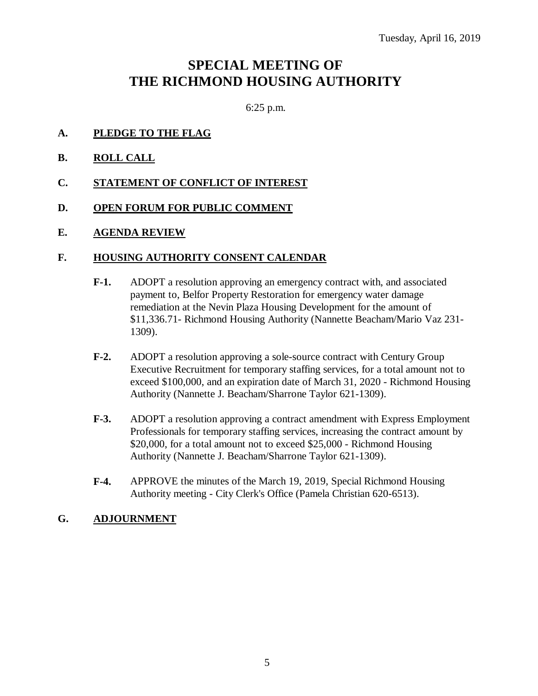## **SPECIAL MEETING OF THE RICHMOND HOUSING AUTHORITY**

6:25 p.m.

## **A. PLEDGE TO THE FLAG**

- **B. ROLL CALL**
- **C. STATEMENT OF CONFLICT OF INTEREST**
- **D. OPEN FORUM FOR PUBLIC COMMENT**
- **E. AGENDA REVIEW**

#### **F. HOUSING AUTHORITY CONSENT CALENDAR**

- **F-1.** ADOPT a resolution approving an emergency contract with, and associated payment to, Belfor Property Restoration for emergency water damage remediation at the Nevin Plaza Housing Development for the amount of \$11,336.71- Richmond Housing Authority (Nannette Beacham/Mario Vaz 231- 1309).
- **F-2.** ADOPT a resolution approving a sole-source contract with Century Group Executive Recruitment for temporary staffing services, for a total amount not to exceed \$100,000, and an expiration date of March 31, 2020 - Richmond Housing Authority (Nannette J. Beacham/Sharrone Taylor 621-1309).
- **F-3.** ADOPT a resolution approving a contract amendment with Express Employment Professionals for temporary staffing services, increasing the contract amount by \$20,000, for a total amount not to exceed \$25,000 - Richmond Housing Authority (Nannette J. Beacham/Sharrone Taylor 621-1309).
- **F-4.** APPROVE the minutes of the March 19, 2019, Special Richmond Housing Authority meeting - City Clerk's Office (Pamela Christian 620-6513).

### **G. ADJOURNMENT**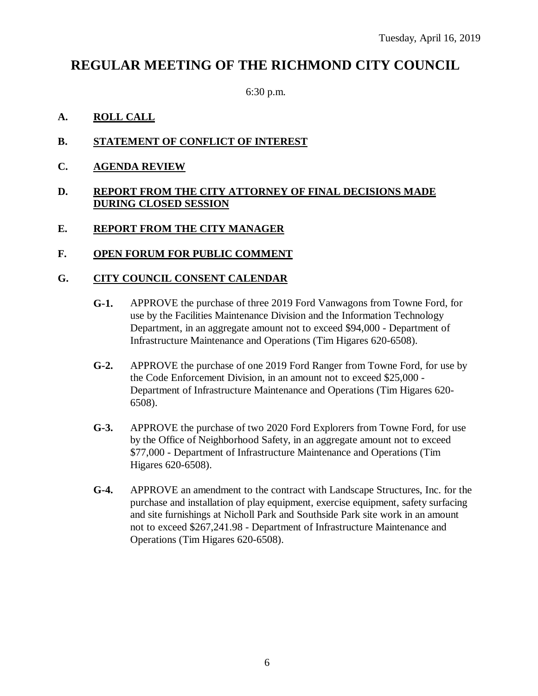## **REGULAR MEETING OF THE RICHMOND CITY COUNCIL**

6:30 p.m.

## **A. ROLL CALL**

- **B. STATEMENT OF CONFLICT OF INTEREST**
- **C. AGENDA REVIEW**

#### **D. REPORT FROM THE CITY ATTORNEY OF FINAL DECISIONS MADE DURING CLOSED SESSION**

### **E. REPORT FROM THE CITY MANAGER**

### **F. OPEN FORUM FOR PUBLIC COMMENT**

### **G. CITY COUNCIL CONSENT CALENDAR**

- **G-1.** APPROVE the purchase of three 2019 Ford Vanwagons from Towne Ford, for use by the Facilities Maintenance Division and the Information Technology Department, in an aggregate amount not to exceed \$94,000 - Department of Infrastructure Maintenance and Operations (Tim Higares 620-6508).
- **G-2.** APPROVE the purchase of one 2019 Ford Ranger from Towne Ford, for use by the Code Enforcement Division, in an amount not to exceed \$25,000 - Department of Infrastructure Maintenance and Operations (Tim Higares 620- 6508).
- **G-3.** APPROVE the purchase of two 2020 Ford Explorers from Towne Ford, for use by the Office of Neighborhood Safety, in an aggregate amount not to exceed \$77,000 - Department of Infrastructure Maintenance and Operations (Tim Higares 620-6508).
- **G-4.** APPROVE an amendment to the contract with Landscape Structures, Inc. for the purchase and installation of play equipment, exercise equipment, safety surfacing and site furnishings at Nicholl Park and Southside Park site work in an amount not to exceed \$267,241.98 - Department of Infrastructure Maintenance and Operations (Tim Higares 620-6508).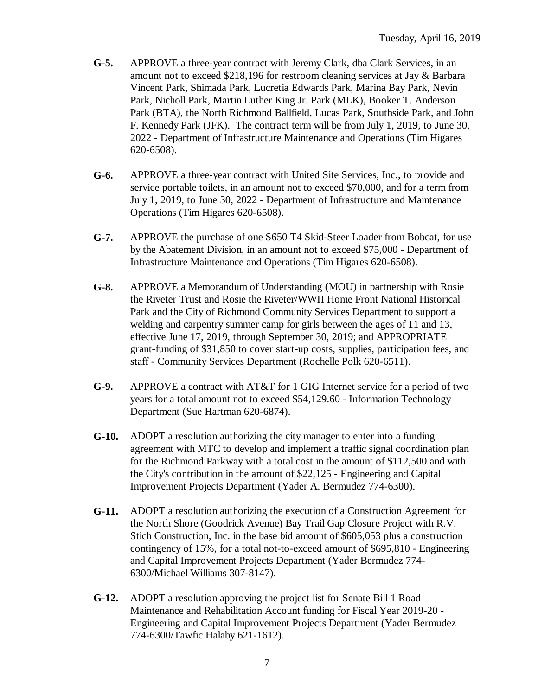- **G-5.** APPROVE a three-year contract with Jeremy Clark, dba Clark Services, in an amount not to exceed \$218,196 for restroom cleaning services at Jay & Barbara Vincent Park, Shimada Park, Lucretia Edwards Park, Marina Bay Park, Nevin Park, Nicholl Park, Martin Luther King Jr. Park (MLK), Booker T. Anderson Park (BTA), the North Richmond Ballfield, Lucas Park, Southside Park, and John F. Kennedy Park (JFK). The contract term will be from July 1, 2019, to June 30, 2022 - Department of Infrastructure Maintenance and Operations (Tim Higares 620-6508).
- **G-6.** APPROVE a three-year contract with United Site Services, Inc., to provide and service portable toilets, in an amount not to exceed \$70,000, and for a term from July 1, 2019, to June 30, 2022 - Department of Infrastructure and Maintenance Operations (Tim Higares 620-6508).
- **G-7.** APPROVE the purchase of one S650 T4 Skid-Steer Loader from Bobcat, for use by the Abatement Division, in an amount not to exceed \$75,000 - Department of Infrastructure Maintenance and Operations (Tim Higares 620-6508).
- **G-8.** APPROVE a Memorandum of Understanding (MOU) in partnership with Rosie the Riveter Trust and Rosie the Riveter/WWII Home Front National Historical Park and the City of Richmond Community Services Department to support a welding and carpentry summer camp for girls between the ages of 11 and 13, effective June 17, 2019, through September 30, 2019; and APPROPRIATE grant-funding of \$31,850 to cover start-up costs, supplies, participation fees, and staff - Community Services Department (Rochelle Polk 620-6511).
- **G-9.** APPROVE a contract with AT&T for 1 GIG Internet service for a period of two years for a total amount not to exceed \$54,129.60 - Information Technology Department (Sue Hartman 620-6874).
- **G-10.** ADOPT a resolution authorizing the city manager to enter into a funding agreement with MTC to develop and implement a traffic signal coordination plan for the Richmond Parkway with a total cost in the amount of \$112,500 and with the City's contribution in the amount of \$22,125 - Engineering and Capital Improvement Projects Department (Yader A. Bermudez 774-6300).
- **G-11.** ADOPT a resolution authorizing the execution of a Construction Agreement for the North Shore (Goodrick Avenue) Bay Trail Gap Closure Project with R.V. Stich Construction, Inc. in the base bid amount of \$605,053 plus a construction contingency of 15%, for a total not-to-exceed amount of \$695,810 - Engineering and Capital Improvement Projects Department (Yader Bermudez 774- 6300/Michael Williams 307-8147).
- **G-12.** ADOPT a resolution approving the project list for Senate Bill 1 Road Maintenance and Rehabilitation Account funding for Fiscal Year 2019-20 - Engineering and Capital Improvement Projects Department (Yader Bermudez 774-6300/Tawfic Halaby 621-1612).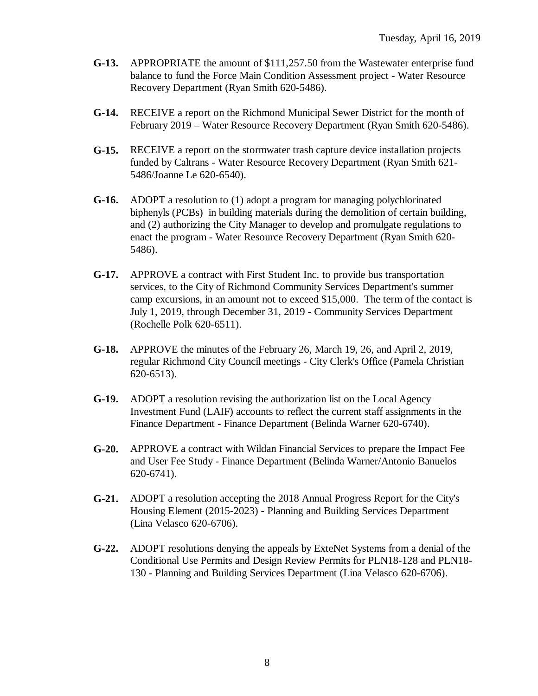- **G-13.** APPROPRIATE the amount of \$111,257.50 from the Wastewater enterprise fund balance to fund the Force Main Condition Assessment project - Water Resource Recovery Department (Ryan Smith 620-5486).
- **G-14.** RECEIVE a report on the Richmond Municipal Sewer District for the month of February 2019 – Water Resource Recovery Department (Ryan Smith 620-5486).
- **G-15.** RECEIVE a report on the stormwater trash capture device installation projects funded by Caltrans - Water Resource Recovery Department (Ryan Smith 621- 5486/Joanne Le 620-6540).
- **G-16.** ADOPT a resolution to (1) adopt a program for managing polychlorinated biphenyls (PCBs) in building materials during the demolition of certain building, and (2) authorizing the City Manager to develop and promulgate regulations to enact the program - Water Resource Recovery Department (Ryan Smith 620- 5486).
- **G-17.** APPROVE a contract with First Student Inc. to provide bus transportation services, to the City of Richmond Community Services Department's summer camp excursions, in an amount not to exceed \$15,000. The term of the contact is July 1, 2019, through December 31, 2019 - Community Services Department (Rochelle Polk 620-6511).
- **G-18.** APPROVE the minutes of the February 26, March 19, 26, and April 2, 2019, regular Richmond City Council meetings - City Clerk's Office (Pamela Christian 620-6513).
- **G-19.** ADOPT a resolution revising the authorization list on the Local Agency Investment Fund (LAIF) accounts to reflect the current staff assignments in the Finance Department - Finance Department (Belinda Warner 620-6740).
- **G-20.** APPROVE a contract with Wildan Financial Services to prepare the Impact Fee and User Fee Study - Finance Department (Belinda Warner/Antonio Banuelos 620-6741).
- **G-21.** ADOPT a resolution accepting the 2018 Annual Progress Report for the City's Housing Element (2015-2023) - Planning and Building Services Department (Lina Velasco 620-6706).
- **G-22.** ADOPT resolutions denying the appeals by ExteNet Systems from a denial of the Conditional Use Permits and Design Review Permits for PLN18-128 and PLN18- 130 - Planning and Building Services Department (Lina Velasco 620-6706).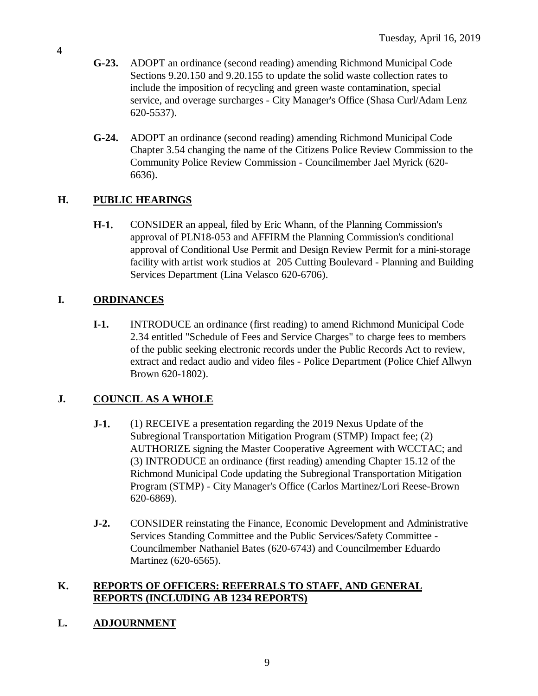- **G-23.** ADOPT an ordinance (second reading) amending Richmond Municipal Code Sections 9.20.150 and 9.20.155 to update the solid waste collection rates to include the imposition of recycling and green waste contamination, special service, and overage surcharges - City Manager's Office (Shasa Curl/Adam Lenz 620-5537).
- **G-24.** ADOPT an ordinance (second reading) amending Richmond Municipal Code Chapter 3.54 changing the name of the Citizens Police Review Commission to the Community Police Review Commission - Councilmember Jael Myrick (620- 6636).

## **H. PUBLIC HEARINGS**

**H-1.** CONSIDER an appeal, filed by Eric Whann, of the Planning Commission's approval of PLN18-053 and AFFIRM the Planning Commission's conditional approval of Conditional Use Permit and Design Review Permit for a mini-storage facility with artist work studios at 205 Cutting Boulevard - Planning and Building Services Department (Lina Velasco 620-6706).

## **I. ORDINANCES**

**I-1.** INTRODUCE an ordinance (first reading) to amend Richmond Municipal Code 2.34 entitled "Schedule of Fees and Service Charges" to charge fees to members of the public seeking electronic records under the Public Records Act to review, extract and redact audio and video files - Police Department (Police Chief Allwyn Brown 620-1802).

## **J. COUNCIL AS A WHOLE**

- **J-1.** (1) RECEIVE a presentation regarding the 2019 Nexus Update of the Subregional Transportation Mitigation Program (STMP) Impact fee; (2) AUTHORIZE signing the Master Cooperative Agreement with WCCTAC; and (3) INTRODUCE an ordinance (first reading) amending Chapter 15.12 of the Richmond Municipal Code updating the Subregional Transportation Mitigation Program (STMP) - City Manager's Office (Carlos Martinez/Lori Reese-Brown 620-6869).
- **J-2.** CONSIDER reinstating the Finance, Economic Development and Administrative Services Standing Committee and the Public Services/Safety Committee - Councilmember Nathaniel Bates (620-6743) and Councilmember Eduardo Martinez (620-6565).

### **K. REPORTS OF OFFICERS: REFERRALS TO STAFF, AND GENERAL REPORTS (INCLUDING AB 1234 REPORTS)**

## **L. ADJOURNMENT**